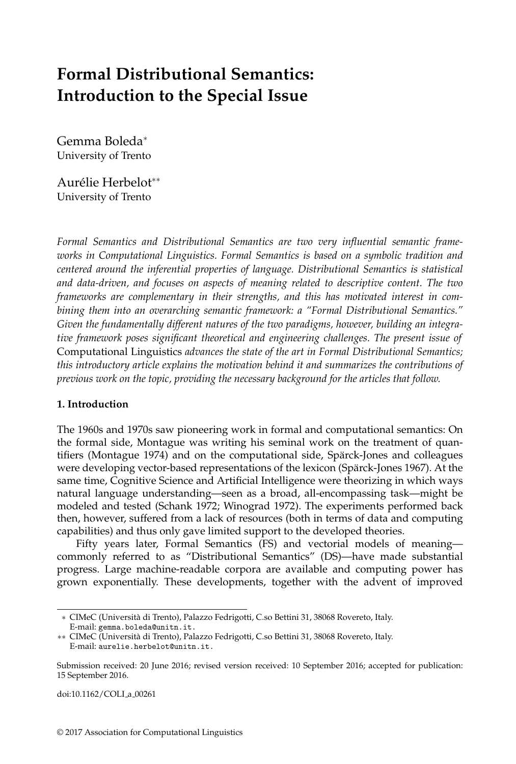# **Formal Distributional Semantics: Introduction to the Special Issue**

Gemma Boleda<sup>∗</sup> University of Trento

Aurélie Herbelot<sup>\*\*</sup> University of Trento

*Formal Semantics and Distributional Semantics are two very influential semantic frameworks in Computational Linguistics. Formal Semantics is based on a symbolic tradition and centered around the inferential properties of language. Distributional Semantics is statistical and data-driven, and focuses on aspects of meaning related to descriptive content. The two frameworks are complementary in their strengths, and this has motivated interest in combining them into an overarching semantic framework: a "Formal Distributional Semantics." Given the fundamentally different natures of the two paradigms, however, building an integrative framework poses significant theoretical and engineering challenges. The present issue of* Computational Linguistics *advances the state of the art in Formal Distributional Semantics; this introductory article explains the motivation behind it and summarizes the contributions of previous work on the topic, providing the necessary background for the articles that follow.*

#### **1. Introduction**

The 1960s and 1970s saw pioneering work in formal and computational semantics: On the formal side, Montague was writing his seminal work on the treatment of quantifiers (Montague 1974) and on the computational side, Sparck-Jones and colleagues ¨ were developing vector-based representations of the lexicon (Spärck-Jones 1967). At the same time, Cognitive Science and Artificial Intelligence were theorizing in which ways natural language understanding—seen as a broad, all-encompassing task—might be modeled and tested (Schank 1972; Winograd 1972). The experiments performed back then, however, suffered from a lack of resources (both in terms of data and computing capabilities) and thus only gave limited support to the developed theories.

Fifty years later, Formal Semantics (FS) and vectorial models of meaning commonly referred to as "Distributional Semantics" (DS)—have made substantial progress. Large machine-readable corpora are available and computing power has grown exponentially. These developments, together with the advent of improved

doi:10.1162/COLI a 00261

<sup>∗</sup> CIMeC (Universita di Trento), Palazzo Fedrigotti, C.so Bettini 31, 38068 Rovereto, Italy. ` E-mail: gemma.boleda@unitn.it.

<sup>∗∗</sup> CIMeC (Universita di Trento), Palazzo Fedrigotti, C.so Bettini 31, 38068 Rovereto, Italy. ` E-mail: aurelie.herbelot@unitn.it.

Submission received: 20 June 2016; revised version received: 10 September 2016; accepted for publication: 15 September 2016.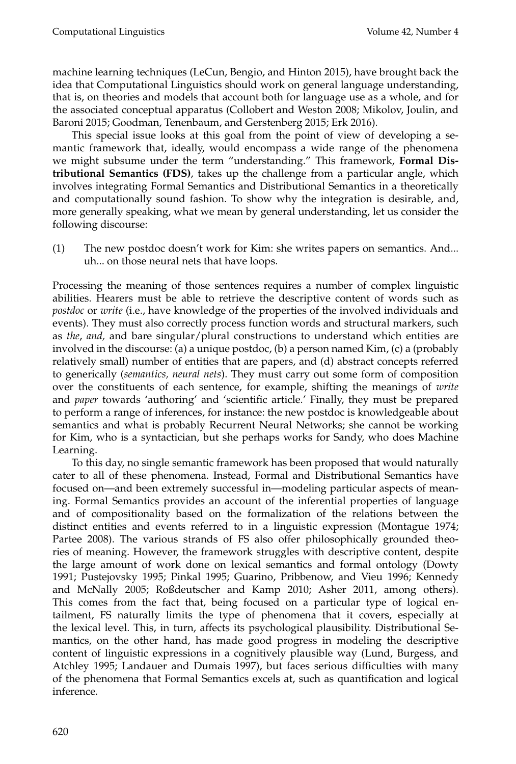machine learning techniques (LeCun, Bengio, and Hinton 2015), have brought back the idea that Computational Linguistics should work on general language understanding, that is, on theories and models that account both for language use as a whole, and for the associated conceptual apparatus (Collobert and Weston 2008; Mikolov, Joulin, and Baroni 2015; Goodman, Tenenbaum, and Gerstenberg 2015; Erk 2016).

This special issue looks at this goal from the point of view of developing a semantic framework that, ideally, would encompass a wide range of the phenomena we might subsume under the term "understanding." This framework, **Formal Distributional Semantics (FDS)**, takes up the challenge from a particular angle, which involves integrating Formal Semantics and Distributional Semantics in a theoretically and computationally sound fashion. To show why the integration is desirable, and, more generally speaking, what we mean by general understanding, let us consider the following discourse:

(1) The new postdoc doesn't work for Kim: she writes papers on semantics. And... uh... on those neural nets that have loops.

Processing the meaning of those sentences requires a number of complex linguistic abilities. Hearers must be able to retrieve the descriptive content of words such as *postdoc* or *write* (i.e., have knowledge of the properties of the involved individuals and events). They must also correctly process function words and structural markers, such as *the*, *and,* and bare singular/plural constructions to understand which entities are involved in the discourse: (a) a unique postdoc, (b) a person named Kim, (c) a (probably relatively small) number of entities that are papers, and (d) abstract concepts referred to generically (*semantics, neural nets*). They must carry out some form of composition over the constituents of each sentence, for example, shifting the meanings of *write* and *paper* towards 'authoring' and 'scientific article.' Finally, they must be prepared to perform a range of inferences, for instance: the new postdoc is knowledgeable about semantics and what is probably Recurrent Neural Networks; she cannot be working for Kim, who is a syntactician, but she perhaps works for Sandy, who does Machine Learning.

To this day, no single semantic framework has been proposed that would naturally cater to all of these phenomena. Instead, Formal and Distributional Semantics have focused on—and been extremely successful in—modeling particular aspects of meaning. Formal Semantics provides an account of the inferential properties of language and of compositionality based on the formalization of the relations between the distinct entities and events referred to in a linguistic expression (Montague 1974; Partee 2008). The various strands of FS also offer philosophically grounded theories of meaning. However, the framework struggles with descriptive content, despite the large amount of work done on lexical semantics and formal ontology (Dowty 1991; Pustejovsky 1995; Pinkal 1995; Guarino, Pribbenow, and Vieu 1996; Kennedy and McNally 2005; Roßdeutscher and Kamp 2010; Asher 2011, among others). This comes from the fact that, being focused on a particular type of logical entailment, FS naturally limits the type of phenomena that it covers, especially at the lexical level. This, in turn, affects its psychological plausibility. Distributional Semantics, on the other hand, has made good progress in modeling the descriptive content of linguistic expressions in a cognitively plausible way (Lund, Burgess, and Atchley 1995; Landauer and Dumais 1997), but faces serious difficulties with many of the phenomena that Formal Semantics excels at, such as quantification and logical inference.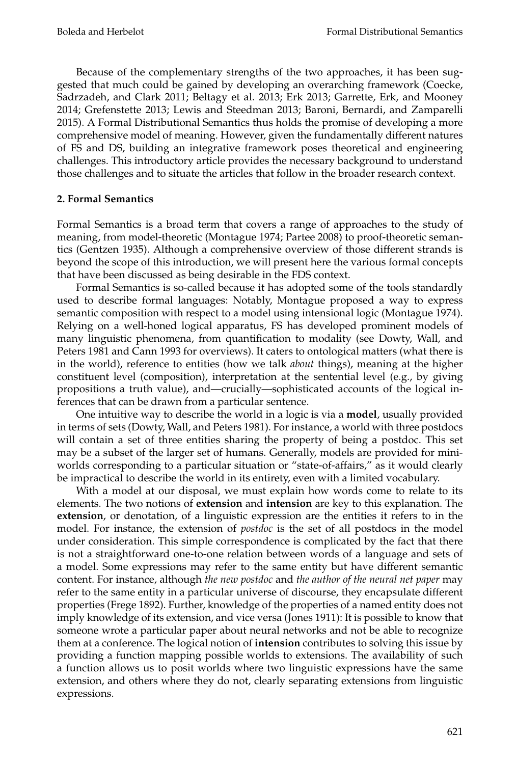Because of the complementary strengths of the two approaches, it has been suggested that much could be gained by developing an overarching framework (Coecke, Sadrzadeh, and Clark 2011; Beltagy et al. 2013; Erk 2013; Garrette, Erk, and Mooney 2014; Grefenstette 2013; Lewis and Steedman 2013; Baroni, Bernardi, and Zamparelli 2015). A Formal Distributional Semantics thus holds the promise of developing a more comprehensive model of meaning. However, given the fundamentally different natures of FS and DS, building an integrative framework poses theoretical and engineering challenges. This introductory article provides the necessary background to understand those challenges and to situate the articles that follow in the broader research context.

# **2. Formal Semantics**

Formal Semantics is a broad term that covers a range of approaches to the study of meaning, from model-theoretic (Montague 1974; Partee 2008) to proof-theoretic semantics (Gentzen 1935). Although a comprehensive overview of those different strands is beyond the scope of this introduction, we will present here the various formal concepts that have been discussed as being desirable in the FDS context.

Formal Semantics is so-called because it has adopted some of the tools standardly used to describe formal languages: Notably, Montague proposed a way to express semantic composition with respect to a model using intensional logic (Montague 1974). Relying on a well-honed logical apparatus, FS has developed prominent models of many linguistic phenomena, from quantification to modality (see Dowty, Wall, and Peters 1981 and Cann 1993 for overviews). It caters to ontological matters (what there is in the world), reference to entities (how we talk *about* things), meaning at the higher constituent level (composition), interpretation at the sentential level (e.g., by giving propositions a truth value), and—crucially—sophisticated accounts of the logical inferences that can be drawn from a particular sentence.

One intuitive way to describe the world in a logic is via a **model**, usually provided in terms of sets (Dowty, Wall, and Peters 1981). For instance, a world with three postdocs will contain a set of three entities sharing the property of being a postdoc. This set may be a subset of the larger set of humans. Generally, models are provided for miniworlds corresponding to a particular situation or "state-of-affairs," as it would clearly be impractical to describe the world in its entirety, even with a limited vocabulary.

With a model at our disposal, we must explain how words come to relate to its elements. The two notions of **extension** and **intension** are key to this explanation. The **extension**, or denotation, of a linguistic expression are the entities it refers to in the model. For instance, the extension of *postdoc* is the set of all postdocs in the model under consideration. This simple correspondence is complicated by the fact that there is not a straightforward one-to-one relation between words of a language and sets of a model. Some expressions may refer to the same entity but have different semantic content. For instance, although *the new postdoc* and *the author of the neural net paper* may refer to the same entity in a particular universe of discourse, they encapsulate different properties (Frege 1892). Further, knowledge of the properties of a named entity does not imply knowledge of its extension, and vice versa (Jones 1911): It is possible to know that someone wrote a particular paper about neural networks and not be able to recognize them at a conference. The logical notion of **intension** contributes to solving this issue by providing a function mapping possible worlds to extensions. The availability of such a function allows us to posit worlds where two linguistic expressions have the same extension, and others where they do not, clearly separating extensions from linguistic expressions.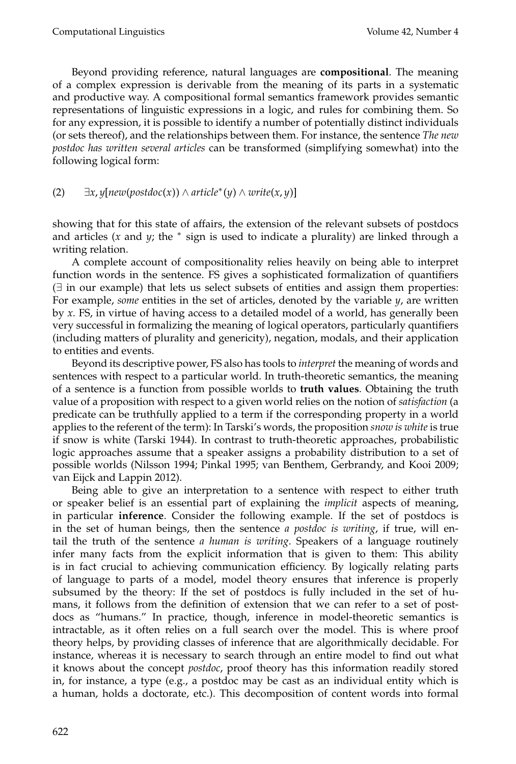Beyond providing reference, natural languages are **compositional**. The meaning of a complex expression is derivable from the meaning of its parts in a systematic and productive way. A compositional formal semantics framework provides semantic representations of linguistic expressions in a logic, and rules for combining them. So for any expression, it is possible to identify a number of potentially distinct individuals (or sets thereof), and the relationships between them. For instance, the sentence *The new postdoc has written several articles* can be transformed (simplifying somewhat) into the following logical form:

# (2)  $\exists x, y$ [new(postdoc(x)) ∧ article<sup>\*</sup>(y) ∧ write(x, y)]

showing that for this state of affairs, the extension of the relevant subsets of postdocs and articles (*x* and *y*; the <sup>∗</sup> sign is used to indicate a plurality) are linked through a writing relation.

A complete account of compositionality relies heavily on being able to interpret function words in the sentence. FS gives a sophisticated formalization of quantifiers (∃ in our example) that lets us select subsets of entities and assign them properties: For example, *some* entities in the set of articles, denoted by the variable *y*, are written by *x*. FS, in virtue of having access to a detailed model of a world, has generally been very successful in formalizing the meaning of logical operators, particularly quantifiers (including matters of plurality and genericity), negation, modals, and their application to entities and events.

Beyond its descriptive power, FS also has tools to *interpret* the meaning of words and sentences with respect to a particular world. In truth-theoretic semantics, the meaning of a sentence is a function from possible worlds to **truth values**. Obtaining the truth value of a proposition with respect to a given world relies on the notion of *satisfaction* (a predicate can be truthfully applied to a term if the corresponding property in a world applies to the referent of the term): In Tarski's words, the proposition *snow is white* is true if snow is white (Tarski 1944). In contrast to truth-theoretic approaches, probabilistic logic approaches assume that a speaker assigns a probability distribution to a set of possible worlds (Nilsson 1994; Pinkal 1995; van Benthem, Gerbrandy, and Kooi 2009; van Eijck and Lappin 2012).

Being able to give an interpretation to a sentence with respect to either truth or speaker belief is an essential part of explaining the *implicit* aspects of meaning, in particular **inference**. Consider the following example. If the set of postdocs is in the set of human beings, then the sentence *a postdoc is writing*, if true, will entail the truth of the sentence *a human is writing*. Speakers of a language routinely infer many facts from the explicit information that is given to them: This ability is in fact crucial to achieving communication efficiency. By logically relating parts of language to parts of a model, model theory ensures that inference is properly subsumed by the theory: If the set of postdocs is fully included in the set of humans, it follows from the definition of extension that we can refer to a set of postdocs as "humans." In practice, though, inference in model-theoretic semantics is intractable, as it often relies on a full search over the model. This is where proof theory helps, by providing classes of inference that are algorithmically decidable. For instance, whereas it is necessary to search through an entire model to find out what it knows about the concept *postdoc*, proof theory has this information readily stored in, for instance, a type (e.g., a postdoc may be cast as an individual entity which is a human, holds a doctorate, etc.). This decomposition of content words into formal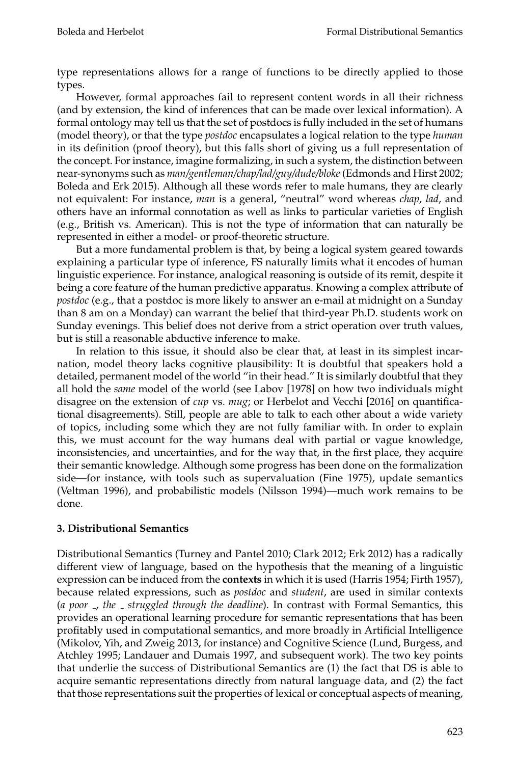type representations allows for a range of functions to be directly applied to those types.

However, formal approaches fail to represent content words in all their richness (and by extension, the kind of inferences that can be made over lexical information). A formal ontology may tell us that the set of postdocs is fully included in the set of humans (model theory), or that the type *postdoc* encapsulates a logical relation to the type *human* in its definition (proof theory), but this falls short of giving us a full representation of the concept. For instance, imagine formalizing, in such a system, the distinction between near-synonyms such as *man/gentleman/chap/lad/guy/dude/bloke* (Edmonds and Hirst 2002; Boleda and Erk 2015). Although all these words refer to male humans, they are clearly not equivalent: For instance, *man* is a general, "neutral" word whereas *chap*, *lad*, and others have an informal connotation as well as links to particular varieties of English (e.g., British vs. American). This is not the type of information that can naturally be represented in either a model- or proof-theoretic structure.

But a more fundamental problem is that, by being a logical system geared towards explaining a particular type of inference, FS naturally limits what it encodes of human linguistic experience. For instance, analogical reasoning is outside of its remit, despite it being a core feature of the human predictive apparatus. Knowing a complex attribute of *postdoc* (e.g., that a postdoc is more likely to answer an e-mail at midnight on a Sunday than 8 am on a Monday) can warrant the belief that third-year Ph.D. students work on Sunday evenings. This belief does not derive from a strict operation over truth values, but is still a reasonable abductive inference to make.

In relation to this issue, it should also be clear that, at least in its simplest incarnation, model theory lacks cognitive plausibility: It is doubtful that speakers hold a detailed, permanent model of the world "in their head." It is similarly doubtful that they all hold the *same* model of the world (see Labov [1978] on how two individuals might disagree on the extension of *cup* vs. *mug*; or Herbelot and Vecchi [2016] on quantificational disagreements). Still, people are able to talk to each other about a wide variety of topics, including some which they are not fully familiar with. In order to explain this, we must account for the way humans deal with partial or vague knowledge, inconsistencies, and uncertainties, and for the way that, in the first place, they acquire their semantic knowledge. Although some progress has been done on the formalization side—for instance, with tools such as supervaluation (Fine 1975), update semantics (Veltman 1996), and probabilistic models (Nilsson 1994)—much work remains to be done.

# **3. Distributional Semantics**

Distributional Semantics (Turney and Pantel 2010; Clark 2012; Erk 2012) has a radically different view of language, based on the hypothesis that the meaning of a linguistic expression can be induced from the **contexts** in which it is used (Harris 1954; Firth 1957), because related expressions, such as *postdoc* and *student*, are used in similar contexts (*a poor* , *the struggled through the deadline*). In contrast with Formal Semantics, this provides an operational learning procedure for semantic representations that has been profitably used in computational semantics, and more broadly in Artificial Intelligence (Mikolov, Yih, and Zweig 2013, for instance) and Cognitive Science (Lund, Burgess, and Atchley 1995; Landauer and Dumais 1997, and subsequent work). The two key points that underlie the success of Distributional Semantics are (1) the fact that DS is able to acquire semantic representations directly from natural language data, and (2) the fact that those representations suit the properties of lexical or conceptual aspects of meaning,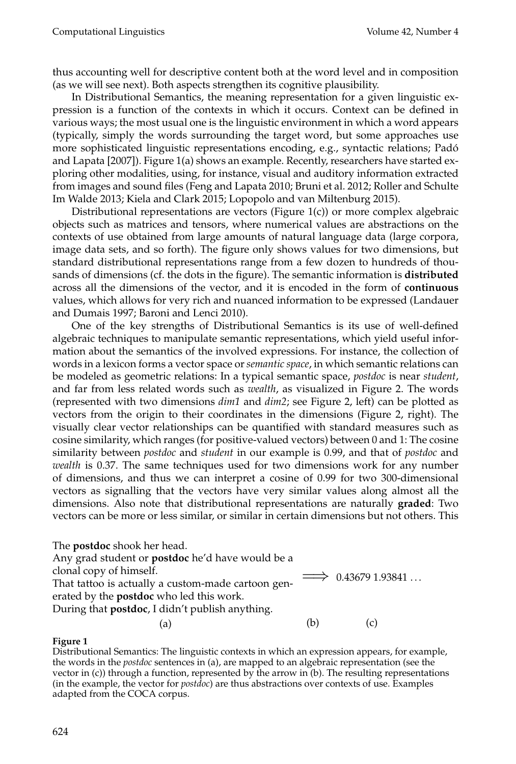thus accounting well for descriptive content both at the word level and in composition (as we will see next). Both aspects strengthen its cognitive plausibility.

In Distributional Semantics, the meaning representation for a given linguistic expression is a function of the contexts in which it occurs. Context can be defined in various ways; the most usual one is the linguistic environment in which a word appears (typically, simply the words surrounding the target word, but some approaches use more sophisticated linguistic representations encoding, e.g., syntactic relations; Pado´ and Lapata [2007]). Figure 1(a) shows an example. Recently, researchers have started exploring other modalities, using, for instance, visual and auditory information extracted from images and sound files (Feng and Lapata 2010; Bruni et al. 2012; Roller and Schulte Im Walde 2013; Kiela and Clark 2015; Lopopolo and van Miltenburg 2015).

Distributional representations are vectors (Figure 1(c)) or more complex algebraic objects such as matrices and tensors, where numerical values are abstractions on the contexts of use obtained from large amounts of natural language data (large corpora, image data sets, and so forth). The figure only shows values for two dimensions, but standard distributional representations range from a few dozen to hundreds of thousands of dimensions (cf. the dots in the figure). The semantic information is **distributed** across all the dimensions of the vector, and it is encoded in the form of **continuous** values, which allows for very rich and nuanced information to be expressed (Landauer and Dumais 1997; Baroni and Lenci 2010).

One of the key strengths of Distributional Semantics is its use of well-defined algebraic techniques to manipulate semantic representations, which yield useful information about the semantics of the involved expressions. For instance, the collection of words in a lexicon forms a vector space or *semantic space*, in which semantic relations can be modeled as geometric relations: In a typical semantic space, *postdoc* is near *student*, and far from less related words such as *wealth*, as visualized in Figure 2. The words (represented with two dimensions *dim1* and *dim2*; see Figure 2, left) can be plotted as vectors from the origin to their coordinates in the dimensions (Figure 2, right). The visually clear vector relationships can be quantified with standard measures such as cosine similarity, which ranges (for positive-valued vectors) between 0 and 1: The cosine similarity between *postdoc* and *student* in our example is 0.99, and that of *postdoc* and *wealth* is 0.37. The same techniques used for two dimensions work for any number of dimensions, and thus we can interpret a cosine of 0.99 for two 300-dimensional vectors as signalling that the vectors have very similar values along almost all the dimensions. Also note that distributional representations are naturally **graded**: Two vectors can be more or less similar, or similar in certain dimensions but not others. This

```
The postdoc shook her head.
Any grad student or postdoc he'd have would be a
clonal copy of himself.
That tattoo is actually a custom-made cartoon gen-
erated by the postdoc who led this work.
During that postdoc, I didn't publish anything.
                                                    \Rightarrow 0.43679 1.93841 \dots(a) (b) (c)
```
#### **Figure 1**

Distributional Semantics: The linguistic contexts in which an expression appears, for example, the words in the *postdoc* sentences in (a), are mapped to an algebraic representation (see the vector in (c)) through a function, represented by the arrow in (b). The resulting representations (in the example, the vector for *postdoc*) are thus abstractions over contexts of use. Examples adapted from the COCA corpus.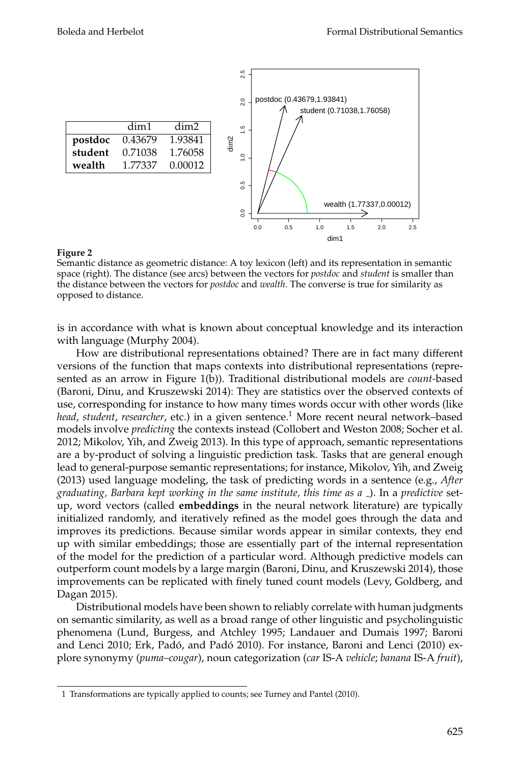

#### **Figure 2**

Semantic distance as geometric distance: A toy lexicon (left) and its representation in semantic space (right). The distance (see arcs) between the vectors for *postdoc* and *student* is smaller than the distance between the vectors for *postdoc* and *wealth*. The converse is true for similarity as opposed to distance.

is in accordance with what is known about conceptual knowledge and its interaction with language (Murphy 2004).

How are distributional representations obtained? There are in fact many different versions of the function that maps contexts into distributional representations (represented as an arrow in Figure 1(b)). Traditional distributional models are *count-*based (Baroni, Dinu, and Kruszewski 2014): They are statistics over the observed contexts of use, corresponding for instance to how many times words occur with other words (like *head, student, researcher, etc.*) in a given sentence.<sup>1</sup> More recent neural network–based models involve *predicting* the contexts instead (Collobert and Weston 2008; Socher et al. 2012; Mikolov, Yih, and Zweig 2013). In this type of approach, semantic representations are a by-product of solving a linguistic prediction task. Tasks that are general enough lead to general-purpose semantic representations; for instance, Mikolov, Yih, and Zweig (2013) used language modeling, the task of predicting words in a sentence (e.g., *After graduating, Barbara kept working in the same institute, this time as a* ). In a *predictive* setup, word vectors (called **embeddings** in the neural network literature) are typically initialized randomly, and iteratively refined as the model goes through the data and improves its predictions. Because similar words appear in similar contexts, they end up with similar embeddings; those are essentially part of the internal representation of the model for the prediction of a particular word. Although predictive models can outperform count models by a large margin (Baroni, Dinu, and Kruszewski 2014), those improvements can be replicated with finely tuned count models (Levy, Goldberg, and Dagan 2015).

Distributional models have been shown to reliably correlate with human judgments on semantic similarity, as well as a broad range of other linguistic and psycholinguistic phenomena (Lund, Burgess, and Atchley 1995; Landauer and Dumais 1997; Baroni and Lenci 2010; Erk, Padó, and Padó 2010). For instance, Baroni and Lenci (2010) explore synonymy (*puma–cougar*), noun categorization (*car* IS-A *vehicle*; *banana* IS-A *fruit*),

<sup>1</sup> Transformations are typically applied to counts; see Turney and Pantel (2010).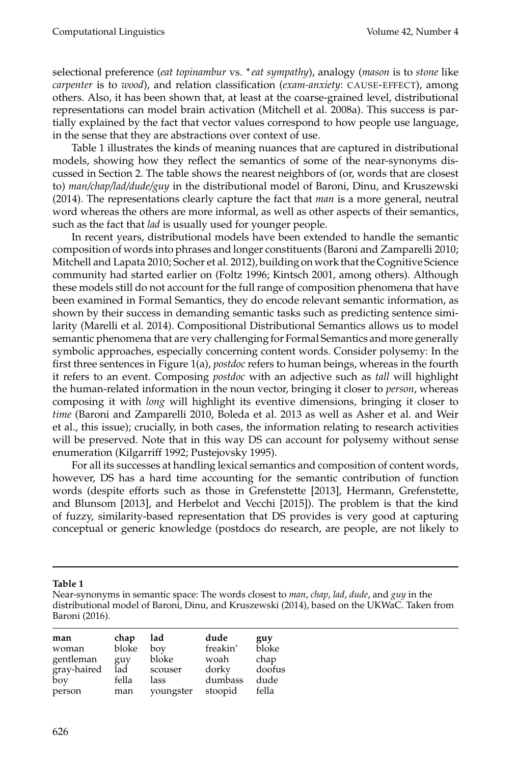selectional preference (*eat topinambur* vs. *\* eat sympathy*), analogy (*mason* is to *stone* like *carpenter* is to *wood*), and relation classification (*exam-anxiety*: CAUSE-EFFECT), among others. Also, it has been shown that, at least at the coarse-grained level, distributional representations can model brain activation (Mitchell et al. 2008a). This success is partially explained by the fact that vector values correspond to how people use language, in the sense that they are abstractions over context of use.

Table 1 illustrates the kinds of meaning nuances that are captured in distributional models, showing how they reflect the semantics of some of the near-synonyms discussed in Section 2. The table shows the nearest neighbors of (or, words that are closest to) *man/chap/lad/dude/guy* in the distributional model of Baroni, Dinu, and Kruszewski (2014). The representations clearly capture the fact that *man* is a more general, neutral word whereas the others are more informal, as well as other aspects of their semantics, such as the fact that *lad* is usually used for younger people.

In recent years, distributional models have been extended to handle the semantic composition of words into phrases and longer constituents (Baroni and Zamparelli 2010; Mitchell and Lapata 2010; Socher et al. 2012), building on work that the Cognitive Science community had started earlier on (Foltz 1996; Kintsch 2001, among others). Although these models still do not account for the full range of composition phenomena that have been examined in Formal Semantics, they do encode relevant semantic information, as shown by their success in demanding semantic tasks such as predicting sentence similarity (Marelli et al. 2014). Compositional Distributional Semantics allows us to model semantic phenomena that are very challenging for Formal Semantics and more generally symbolic approaches, especially concerning content words. Consider polysemy: In the first three sentences in Figure 1(a), *postdoc* refers to human beings, whereas in the fourth it refers to an event. Composing *postdoc* with an adjective such as *tall* will highlight the human-related information in the noun vector, bringing it closer to *person*, whereas composing it with *long* will highlight its eventive dimensions, bringing it closer to *time* (Baroni and Zamparelli 2010, Boleda et al. 2013 as well as Asher et al. and Weir et al., this issue); crucially, in both cases, the information relating to research activities will be preserved. Note that in this way DS can account for polysemy without sense enumeration (Kilgarriff 1992; Pustejovsky 1995).

For all its successes at handling lexical semantics and composition of content words, however, DS has a hard time accounting for the semantic contribution of function words (despite efforts such as those in Grefenstette [2013], Hermann, Grefenstette, and Blunsom [2013], and Herbelot and Vecchi [2015]). The problem is that the kind of fuzzy, similarity-based representation that DS provides is very good at capturing conceptual or generic knowledge (postdocs do research, are people, are not likely to

**Table 1**

Near-synonyms in semantic space: The words closest to *man*, *chap*, *lad*, *dude*, and *guy* in the distributional model of Baroni, Dinu, and Kruszewski (2014), based on the UKWaC. Taken from Baroni (2016).

| man         | chap  | lad       | dude     | guy    |
|-------------|-------|-----------|----------|--------|
| woman       | bloke | boy       | freakin' | bloke  |
| gentleman   | guy   | bloke     | woah     | chap   |
| gray-haired | lad   | scouser   | dorky    | doofus |
| boy         | fella | lass      | dumbass  | dude   |
| person      | man   | youngster | stoopid  | fella  |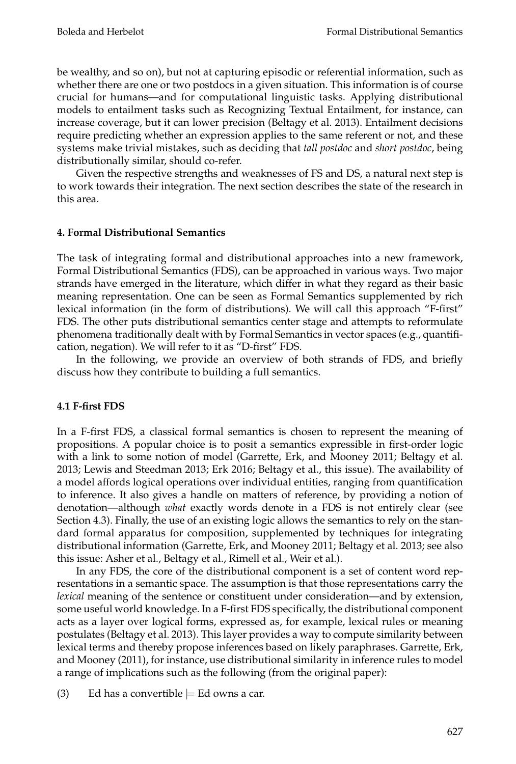be wealthy, and so on), but not at capturing episodic or referential information, such as whether there are one or two postdocs in a given situation. This information is of course crucial for humans—and for computational linguistic tasks. Applying distributional models to entailment tasks such as Recognizing Textual Entailment, for instance, can increase coverage, but it can lower precision (Beltagy et al. 2013). Entailment decisions require predicting whether an expression applies to the same referent or not, and these systems make trivial mistakes, such as deciding that *tall postdoc* and *short postdoc*, being distributionally similar, should co-refer.

Given the respective strengths and weaknesses of FS and DS, a natural next step is to work towards their integration. The next section describes the state of the research in this area.

# **4. Formal Distributional Semantics**

The task of integrating formal and distributional approaches into a new framework, Formal Distributional Semantics (FDS), can be approached in various ways. Two major strands have emerged in the literature, which differ in what they regard as their basic meaning representation. One can be seen as Formal Semantics supplemented by rich lexical information (in the form of distributions). We will call this approach "F-first" FDS. The other puts distributional semantics center stage and attempts to reformulate phenomena traditionally dealt with by Formal Semantics in vector spaces (e.g., quantification, negation). We will refer to it as "D-first" FDS.

In the following, we provide an overview of both strands of FDS, and briefly discuss how they contribute to building a full semantics.

# **4.1 F-first FDS**

In a F-first FDS, a classical formal semantics is chosen to represent the meaning of propositions. A popular choice is to posit a semantics expressible in first-order logic with a link to some notion of model (Garrette, Erk, and Mooney 2011; Beltagy et al. 2013; Lewis and Steedman 2013; Erk 2016; Beltagy et al., this issue). The availability of a model affords logical operations over individual entities, ranging from quantification to inference. It also gives a handle on matters of reference, by providing a notion of denotation—although *what* exactly words denote in a FDS is not entirely clear (see Section 4.3). Finally, the use of an existing logic allows the semantics to rely on the standard formal apparatus for composition, supplemented by techniques for integrating distributional information (Garrette, Erk, and Mooney 2011; Beltagy et al. 2013; see also this issue: Asher et al., Beltagy et al., Rimell et al., Weir et al.).

In any FDS, the core of the distributional component is a set of content word representations in a semantic space. The assumption is that those representations carry the *lexical* meaning of the sentence or constituent under consideration—and by extension, some useful world knowledge. In a F-first FDS specifically, the distributional component acts as a layer over logical forms, expressed as, for example, lexical rules or meaning postulates (Beltagy et al. 2013). This layer provides a way to compute similarity between lexical terms and thereby propose inferences based on likely paraphrases. Garrette, Erk, and Mooney (2011), for instance, use distributional similarity in inference rules to model a range of implications such as the following (from the original paper):

(3) Ed has a convertible  $\models$  Ed owns a car.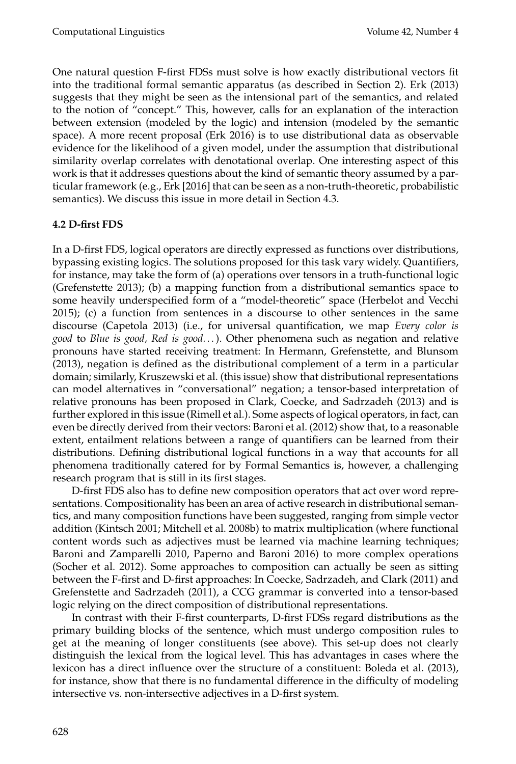One natural question F-first FDSs must solve is how exactly distributional vectors fit into the traditional formal semantic apparatus (as described in Section 2). Erk (2013) suggests that they might be seen as the intensional part of the semantics, and related to the notion of "concept." This, however, calls for an explanation of the interaction between extension (modeled by the logic) and intension (modeled by the semantic space). A more recent proposal (Erk 2016) is to use distributional data as observable evidence for the likelihood of a given model, under the assumption that distributional similarity overlap correlates with denotational overlap. One interesting aspect of this work is that it addresses questions about the kind of semantic theory assumed by a particular framework (e.g., Erk [2016] that can be seen as a non-truth-theoretic, probabilistic semantics). We discuss this issue in more detail in Section 4.3.

# **4.2 D-first FDS**

In a D-first FDS, logical operators are directly expressed as functions over distributions, bypassing existing logics. The solutions proposed for this task vary widely. Quantifiers, for instance, may take the form of (a) operations over tensors in a truth-functional logic (Grefenstette 2013); (b) a mapping function from a distributional semantics space to some heavily underspecified form of a "model-theoretic" space (Herbelot and Vecchi 2015); (c) a function from sentences in a discourse to other sentences in the same discourse (Capetola 2013) (i.e., for universal quantification, we map *Every color is good* to *Blue is good, Red is good. . .*). Other phenomena such as negation and relative pronouns have started receiving treatment: In Hermann, Grefenstette, and Blunsom (2013), negation is defined as the distributional complement of a term in a particular domain; similarly, Kruszewski et al. (this issue) show that distributional representations can model alternatives in "conversational" negation; a tensor-based interpretation of relative pronouns has been proposed in Clark, Coecke, and Sadrzadeh (2013) and is further explored in this issue (Rimell et al.). Some aspects of logical operators, in fact, can even be directly derived from their vectors: Baroni et al. (2012) show that, to a reasonable extent, entailment relations between a range of quantifiers can be learned from their distributions. Defining distributional logical functions in a way that accounts for all phenomena traditionally catered for by Formal Semantics is, however, a challenging research program that is still in its first stages.

D-first FDS also has to define new composition operators that act over word representations. Compositionality has been an area of active research in distributional semantics, and many composition functions have been suggested, ranging from simple vector addition (Kintsch 2001; Mitchell et al. 2008b) to matrix multiplication (where functional content words such as adjectives must be learned via machine learning techniques; Baroni and Zamparelli 2010, Paperno and Baroni 2016) to more complex operations (Socher et al. 2012). Some approaches to composition can actually be seen as sitting between the F-first and D-first approaches: In Coecke, Sadrzadeh, and Clark (2011) and Grefenstette and Sadrzadeh (2011), a CCG grammar is converted into a tensor-based logic relying on the direct composition of distributional representations.

In contrast with their F-first counterparts, D-first FDSs regard distributions as the primary building blocks of the sentence, which must undergo composition rules to get at the meaning of longer constituents (see above). This set-up does not clearly distinguish the lexical from the logical level. This has advantages in cases where the lexicon has a direct influence over the structure of a constituent: Boleda et al. (2013), for instance, show that there is no fundamental difference in the difficulty of modeling intersective vs. non-intersective adjectives in a D-first system.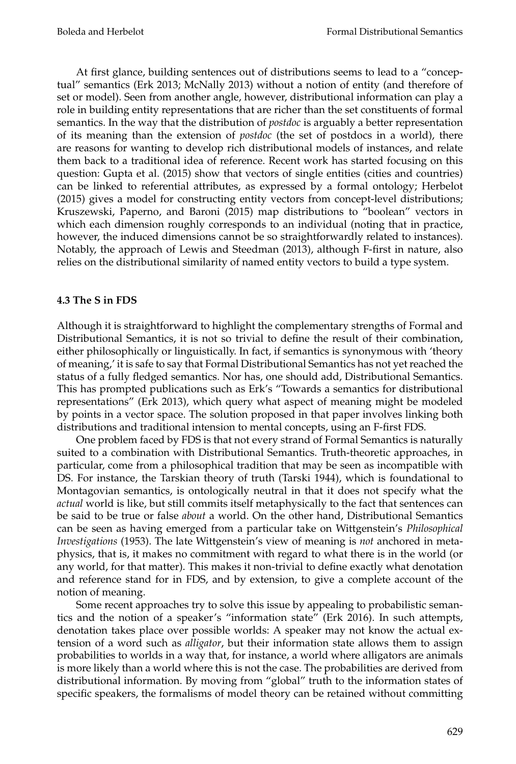At first glance, building sentences out of distributions seems to lead to a "conceptual" semantics (Erk 2013; McNally 2013) without a notion of entity (and therefore of set or model). Seen from another angle, however, distributional information can play a role in building entity representations that are richer than the set constituents of formal semantics. In the way that the distribution of *postdoc* is arguably a better representation of its meaning than the extension of *postdoc* (the set of postdocs in a world), there are reasons for wanting to develop rich distributional models of instances, and relate them back to a traditional idea of reference. Recent work has started focusing on this question: Gupta et al. (2015) show that vectors of single entities (cities and countries) can be linked to referential attributes, as expressed by a formal ontology; Herbelot (2015) gives a model for constructing entity vectors from concept-level distributions; Kruszewski, Paperno, and Baroni (2015) map distributions to "boolean" vectors in which each dimension roughly corresponds to an individual (noting that in practice, however, the induced dimensions cannot be so straightforwardly related to instances). Notably, the approach of Lewis and Steedman (2013), although F-first in nature, also relies on the distributional similarity of named entity vectors to build a type system.

#### **4.3 The S in FDS**

Although it is straightforward to highlight the complementary strengths of Formal and Distributional Semantics, it is not so trivial to define the result of their combination, either philosophically or linguistically. In fact, if semantics is synonymous with 'theory of meaning,' it is safe to say that Formal Distributional Semantics has not yet reached the status of a fully fledged semantics. Nor has, one should add, Distributional Semantics. This has prompted publications such as Erk's "Towards a semantics for distributional representations" (Erk 2013), which query what aspect of meaning might be modeled by points in a vector space. The solution proposed in that paper involves linking both distributions and traditional intension to mental concepts, using an F-first FDS.

One problem faced by FDS is that not every strand of Formal Semantics is naturally suited to a combination with Distributional Semantics. Truth-theoretic approaches, in particular, come from a philosophical tradition that may be seen as incompatible with DS. For instance, the Tarskian theory of truth (Tarski 1944), which is foundational to Montagovian semantics, is ontologically neutral in that it does not specify what the *actual* world is like, but still commits itself metaphysically to the fact that sentences can be said to be true or false *about* a world. On the other hand, Distributional Semantics can be seen as having emerged from a particular take on Wittgenstein's *Philosophical Investigations* (1953). The late Wittgenstein's view of meaning is *not* anchored in metaphysics, that is, it makes no commitment with regard to what there is in the world (or any world, for that matter). This makes it non-trivial to define exactly what denotation and reference stand for in FDS, and by extension, to give a complete account of the notion of meaning.

Some recent approaches try to solve this issue by appealing to probabilistic semantics and the notion of a speaker's "information state" (Erk 2016). In such attempts, denotation takes place over possible worlds: A speaker may not know the actual extension of a word such as *alligator*, but their information state allows them to assign probabilities to worlds in a way that, for instance, a world where alligators are animals is more likely than a world where this is not the case. The probabilities are derived from distributional information. By moving from "global" truth to the information states of specific speakers, the formalisms of model theory can be retained without committing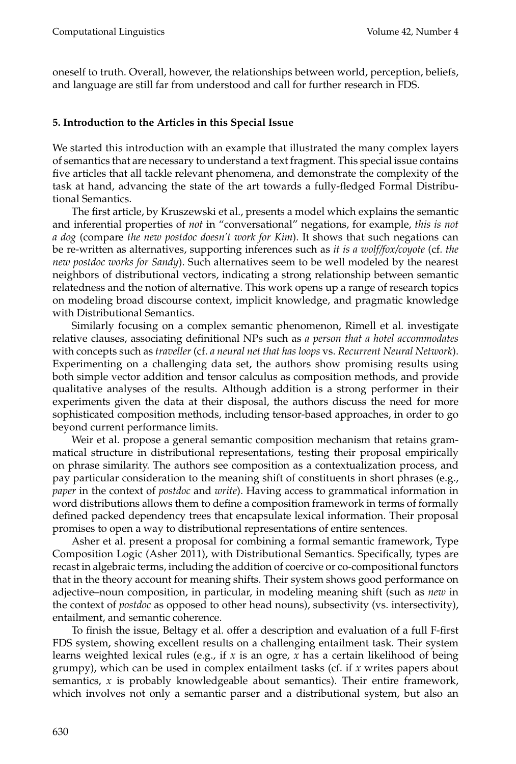oneself to truth. Overall, however, the relationships between world, perception, beliefs, and language are still far from understood and call for further research in FDS.

#### **5. Introduction to the Articles in this Special Issue**

We started this introduction with an example that illustrated the many complex layers of semantics that are necessary to understand a text fragment. This special issue contains five articles that all tackle relevant phenomena, and demonstrate the complexity of the task at hand, advancing the state of the art towards a fully-fledged Formal Distributional Semantics.

The first article, by Kruszewski et al., presents a model which explains the semantic and inferential properties of *not* in "conversational" negations, for example, *this is not a dog* (compare *the new postdoc doesn't work for Kim*). It shows that such negations can be re-written as alternatives, supporting inferences such as *it is a wolf/fox/coyote* (cf. *the new postdoc works for Sandy*). Such alternatives seem to be well modeled by the nearest neighbors of distributional vectors, indicating a strong relationship between semantic relatedness and the notion of alternative. This work opens up a range of research topics on modeling broad discourse context, implicit knowledge, and pragmatic knowledge with Distributional Semantics.

Similarly focusing on a complex semantic phenomenon, Rimell et al. investigate relative clauses, associating definitional NPs such as *a person that a hotel accommodates* with concepts such as *traveller* (cf. *a neural net that has loops* vs. *Recurrent Neural Network*). Experimenting on a challenging data set, the authors show promising results using both simple vector addition and tensor calculus as composition methods, and provide qualitative analyses of the results. Although addition is a strong performer in their experiments given the data at their disposal, the authors discuss the need for more sophisticated composition methods, including tensor-based approaches, in order to go beyond current performance limits.

Weir et al. propose a general semantic composition mechanism that retains grammatical structure in distributional representations, testing their proposal empirically on phrase similarity. The authors see composition as a contextualization process, and pay particular consideration to the meaning shift of constituents in short phrases (e.g., *paper* in the context of *postdoc* and *write*). Having access to grammatical information in word distributions allows them to define a composition framework in terms of formally defined packed dependency trees that encapsulate lexical information. Their proposal promises to open a way to distributional representations of entire sentences.

Asher et al. present a proposal for combining a formal semantic framework, Type Composition Logic (Asher 2011), with Distributional Semantics. Specifically, types are recast in algebraic terms, including the addition of coercive or co-compositional functors that in the theory account for meaning shifts. Their system shows good performance on adjective–noun composition, in particular, in modeling meaning shift (such as *new* in the context of *postdoc* as opposed to other head nouns), subsectivity (vs. intersectivity), entailment, and semantic coherence.

To finish the issue, Beltagy et al. offer a description and evaluation of a full F-first FDS system, showing excellent results on a challenging entailment task. Their system learns weighted lexical rules (e.g., if *x* is an ogre, *x* has a certain likelihood of being grumpy), which can be used in complex entailment tasks (cf. if *x* writes papers about semantics, *x* is probably knowledgeable about semantics). Their entire framework, which involves not only a semantic parser and a distributional system, but also an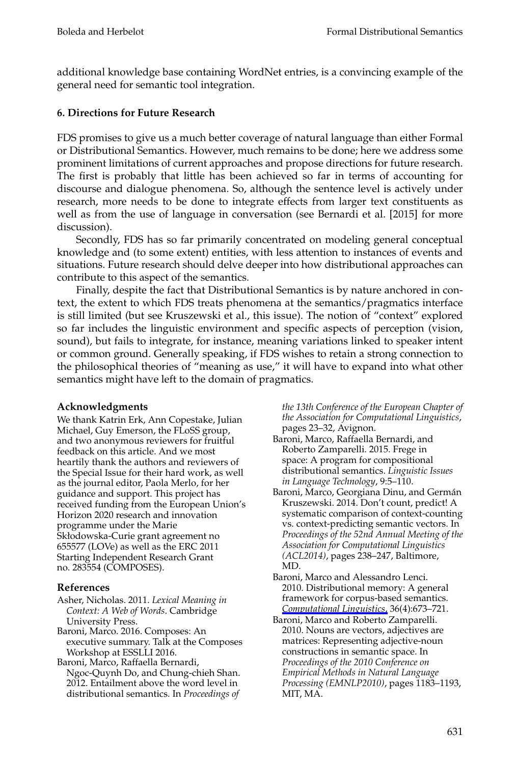additional knowledge base containing WordNet entries, is a convincing example of the general need for semantic tool integration.

# **6. Directions for Future Research**

FDS promises to give us a much better coverage of natural language than either Formal or Distributional Semantics. However, much remains to be done; here we address some prominent limitations of current approaches and propose directions for future research. The first is probably that little has been achieved so far in terms of accounting for discourse and dialogue phenomena. So, although the sentence level is actively under research, more needs to be done to integrate effects from larger text constituents as well as from the use of language in conversation (see Bernardi et al. [2015] for more discussion).

Secondly, FDS has so far primarily concentrated on modeling general conceptual knowledge and (to some extent) entities, with less attention to instances of events and situations. Future research should delve deeper into how distributional approaches can contribute to this aspect of the semantics.

Finally, despite the fact that Distributional Semantics is by nature anchored in context, the extent to which FDS treats phenomena at the semantics/pragmatics interface is still limited (but see Kruszewski et al., this issue). The notion of "context" explored so far includes the linguistic environment and specific aspects of perception (vision, sound), but fails to integrate, for instance, meaning variations linked to speaker intent or common ground. Generally speaking, if FDS wishes to retain a strong connection to the philosophical theories of "meaning as use," it will have to expand into what other semantics might have left to the domain of pragmatics.

#### **Acknowledgments**

We thank Katrin Erk, Ann Copestake, Julian Michael, Guy Emerson, the FLoSS group, and two anonymous reviewers for fruitful feedback on this article. And we most heartily thank the authors and reviewers of the Special Issue for their hard work, as well as the journal editor, Paola Merlo, for her guidance and support. This project has received funding from the European Union's Horizon 2020 research and innovation programme under the Marie Skłodowska-Curie grant agreement no 655577 (LOVe) as well as the ERC 2011 Starting Independent Research Grant no. 283554 (COMPOSES).

#### **References**

- Asher, Nicholas. 2011. *Lexical Meaning in Context: A Web of Words*. Cambridge University Press.
- Baroni, Marco. 2016. Composes: An executive summary. Talk at the Composes Workshop at ESSLLI 2016.
- Baroni, Marco, Raffaella Bernardi, Ngoc-Quynh Do, and Chung-chieh Shan. 2012. Entailment above the word level in distributional semantics. In *Proceedings of*

*the 13th Conference of the European Chapter of the Association for Computational Linguistics*, pages 23–32, Avignon.

- Baroni, Marco, Raffaella Bernardi, and Roberto Zamparelli. 2015. Frege in space: A program for compositional distributional semantics. *Linguistic Issues in Language Technology*, 9:5–110.
- Baroni, Marco, Georgiana Dinu, and Germán Kruszewski. 2014. Don't count, predict! A systematic comparison of context-counting vs. context-predicting semantic vectors. In *Proceedings of the 52nd Annual Meeting of the Association for Computational Linguistics (ACL2014)*, pages 238–247, Baltimore, MD.
- Baroni, Marco and Alessandro Lenci. 2010. Distributional memory: A general framework for corpus-based semantics. *[Computational Linguistics](http://www.mitpressjournals.org/action/showLinks?system=10.1162%2Fcoli_a_00016)*, 36(4):673–721.
- Baroni, Marco and Roberto Zamparelli. 2010. Nouns are vectors, adjectives are matrices: Representing adjective-noun constructions in semantic space. In *Proceedings of the 2010 Conference on Empirical Methods in Natural Language Processing (EMNLP2010)*, pages 1183–1193, MIT, MA.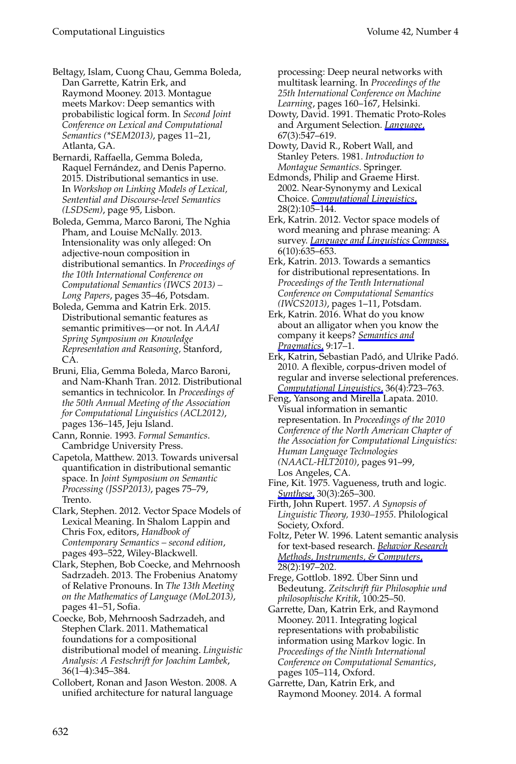- Beltagy, Islam, Cuong Chau, Gemma Boleda, Dan Garrette, Katrin Erk, and Raymond Mooney. 2013. Montague meets Markov: Deep semantics with probabilistic logical form. In *Second Joint Conference on Lexical and Computational Semantics (\*SEM2013)*, pages 11–21, Atlanta, GA.
- Bernardi, Raffaella, Gemma Boleda, Raquel Fernández, and Denis Paperno. 2015. Distributional semantics in use. In *Workshop on Linking Models of Lexical, Sentential and Discourse-level Semantics (LSDSem)*, page 95, Lisbon.
- Boleda, Gemma, Marco Baroni, The Nghia Pham, and Louise McNally. 2013. Intensionality was only alleged: On adjective-noun composition in distributional semantics. In *Proceedings of the 10th International Conference on Computational Semantics (IWCS 2013) – Long Papers*, pages 35–46, Potsdam.
- Boleda, Gemma and Katrin Erk. 2015. Distributional semantic features as semantic primitives—or not. In *AAAI Spring Symposium on Knowledge Representation and Reasoning,* Stanford, CA.
- Bruni, Elia, Gemma Boleda, Marco Baroni, and Nam-Khanh Tran. 2012. Distributional semantics in technicolor. In *Proceedings of the 50th Annual Meeting of the Association for Computational Linguistics (ACL2012)*, pages 136–145, Jeju Island.
- Cann, Ronnie. 1993. *Formal Semantics*. Cambridge University Press.
- Capetola, Matthew. 2013. Towards universal quantification in distributional semantic space. In *Joint Symposium on Semantic Processing (JSSP2013)*, pages 75–79, Trento.
- Clark, Stephen. 2012. Vector Space Models of Lexical Meaning. In Shalom Lappin and Chris Fox, editors, *Handbook of Contemporary Semantics – second edition*, pages 493–522, Wiley-Blackwell.
- Clark, Stephen, Bob Coecke, and Mehrnoosh Sadrzadeh. 2013. The Frobenius Anatomy of Relative Pronouns. In *The 13th Meeting on the Mathematics of Language (MoL2013)*, pages 41–51, Sofia.
- Coecke, Bob, Mehrnoosh Sadrzadeh, and Stephen Clark. 2011. Mathematical foundations for a compositional distributional model of meaning. *Linguistic Analysis: A Festschrift for Joachim Lambek*, 36(1–4):345–384.
- Collobert, Ronan and Jason Weston. 2008. A unified architecture for natural language

processing: Deep neural networks with multitask learning. In *Proceedings of the 25th International Conference on Machine Learning*, pages 160–167, Helsinki.

- Dowty, David. 1991. Thematic Proto-Roles and Argument Selection. *[Language](http://www.mitpressjournals.org/action/showLinks?crossref=10.2307%2F415037)*, 67(3):547–619.
- Dowty, David R., Robert Wall, and Stanley Peters. 1981. *Introduction to Montague Semantics*. Springer.
- Edmonds, Philip and Graeme Hirst. 2002. Near-Synonymy and Lexical Choice. *[Computational Linguistics](http://www.mitpressjournals.org/action/showLinks?system=10.1162%2F089120102760173625)*, 28(2):105–144.
- Erk, Katrin. 2012. Vector space models of word meaning and phrase meaning: A survey. *[Language and Linguistics Compass](http://www.mitpressjournals.org/action/showLinks?crossref=10.1002%2Flnco.362)*, 6(10):635–653.
- Erk, Katrin. 2013. Towards a semantics for distributional representations. In *Proceedings of the Tenth International Conference on Computational Semantics (IWCS2013)*, pages 1–11, Potsdam.
- Erk, Katrin. 2016. What do you know about an alligator when you know the company it keeps? *[Semantics and](http://www.mitpressjournals.org/action/showLinks?crossref=10.3765%2Fsp.9.17) [Pragmatics](http://www.mitpressjournals.org/action/showLinks?crossref=10.3765%2Fsp.9.17)*, 9:17–1.
- Erk, Katrin, Sebastian Padó, and Ulrike Padó. 2010. A flexible, corpus-driven model of regular and inverse selectional preferences. *[Computational Linguistics](http://www.mitpressjournals.org/action/showLinks?system=10.1162%2Fcoli_a_00017)*, 36(4):723–763.
- Feng, Yansong and Mirella Lapata. 2010. Visual information in semantic representation. In *Proceedings of the 2010 Conference of the North American Chapter of the Association for Computational Linguistics: Human Language Technologies (NAACL-HLT2010)*, pages 91–99, Los Angeles, CA.
- Fine, Kit. 1975. Vagueness, truth and logic. *[Synthese](http://www.mitpressjournals.org/action/showLinks?crossref=10.1007%2FBF00485047)*, 30(3):265–300.
- Firth, John Rupert. 1957. *A Synopsis of Linguistic Theory, 1930–1955*. Philological Society, Oxford.
- Foltz, Peter W. 1996. Latent semantic analysis for text-based research. *[Behavior Research](http://www.mitpressjournals.org/action/showLinks?crossref=10.3758%2FBF03204765) [Methods, Instruments, & Computers](http://www.mitpressjournals.org/action/showLinks?crossref=10.3758%2FBF03204765)*, 28(2):197–202.
- Frege, Gottlob. 1892. Uber Sinn und ¨ Bedeutung. Zeitschrift für Philosophie und *philosophische Kritik*, 100:25–50.
- Garrette, Dan, Katrin Erk, and Raymond Mooney. 2011. Integrating logical representations with probabilistic information using Markov logic. In *Proceedings of the Ninth International Conference on Computational Semantics*, pages 105–114, Oxford.
- Garrette, Dan, Katrin Erk, and Raymond Mooney. 2014. A formal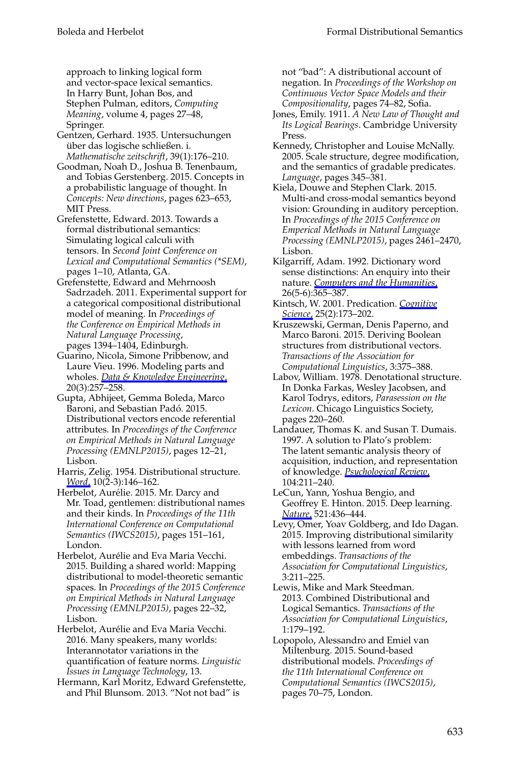approach to linking logical form and vector-space lexical semantics. In Harry Bunt, Johan Bos, and Stephen Pulman, editors, *Computing Meaning*, volume 4, pages 27–48, Springer.

Gentzen, Gerhard. 1935. Untersuchungen über das logische schließen. i. *Mathematische zeitschrift*, 39(1):176–210.

Goodman, Noah D., Joshua B. Tenenbaum, and Tobias Gerstenberg. 2015. Concepts in a probabilistic language of thought. In *Concepts: New directions*, pages 623–653, MIT Press.

Grefenstette, Edward. 2013. Towards a formal distributional semantics: Simulating logical calculi with tensors. In *Second Joint Conference on Lexical and Computational Semantics (\*SEM)*, pages 1–10, Atlanta, GA.

Grefenstette, Edward and Mehrnoosh Sadrzadeh. 2011. Experimental support for a categorical compositional distributional model of meaning. In *Proceedings of the Conference on Empirical Methods in Natural Language Processing*, pages 1394–1404, Edinburgh.

Guarino, Nicola, Simone Pribbenow, and Laure Vieu. 1996. Modeling parts and wholes. *[Data & Knowledge Engineering](http://www.mitpressjournals.org/action/showLinks?crossref=10.1016%2FS0169-023X%2896%2900009-2)*, 20(3):257–258.

Gupta, Abhijeet, Gemma Boleda, Marco Baroni, and Sebastian Padó. 2015. Distributional vectors encode referential attributes. In *Proceedings of the Conference on Empirical Methods in Natural Language Processing (EMNLP2015)*, pages 12–21, Lisbon.

Harris, Zelig. 1954. Distributional structure. *[Word](http://www.mitpressjournals.org/action/showLinks?crossref=10.1080%2F00437956.1954.11659520)*, 10(2-3):146–162.

Herbelot, Aurélie. 2015. Mr. Darcy and Mr. Toad, gentlemen: distributional names and their kinds. In *Proceedings of the 11th International Conference on Computational Semantics (IWCS2015)*, pages 151–161, London.

Herbelot, Aurélie and Eva Maria Vecchi. 2015. Building a shared world: Mapping distributional to model-theoretic semantic spaces. In *Proceedings of the 2015 Conference on Empirical Methods in Natural Language Processing (EMNLP2015)*, pages 22–32, Lisbon.

Herbelot, Aurélie and Eva Maria Vecchi. 2016. Many speakers, many worlds: Interannotator variations in the quantification of feature norms. *Linguistic Issues in Language Technology*, 13.

Hermann, Karl Moritz, Edward Grefenstette, and Phil Blunsom. 2013. "Not not bad" is

not "bad": A distributional account of negation. In *Proceedings of the Workshop on Continuous Vector Space Models and their Compositionality*, pages 74–82, Sofia.

- Jones, Emily. 1911. *A New Law of Thought and Its Logical Bearings*. Cambridge University Press.
- Kennedy, Christopher and Louise McNally. 2005. Scale structure, degree modification, and the semantics of gradable predicates. *Language*, pages 345–381.
- Kiela, Douwe and Stephen Clark. 2015. Multi-and cross-modal semantics beyond vision: Grounding in auditory perception. In *Proceedings of the 2015 Conference on Emperical Methods in Natural Language Processing (EMNLP2015)*, pages 2461–2470, Lisbon.
- Kilgarriff, Adam. 1992. Dictionary word sense distinctions: An enquiry into their nature. *[Computers and the Humanities](http://www.mitpressjournals.org/action/showLinks?crossref=10.1007%2FBF00136981)*, 26(5-6):365–387.
- Kintsch, W. 2001. Predication. *[Cognitive](http://www.mitpressjournals.org/action/showLinks?crossref=10.1207%2Fs15516709cog2502_1) [Science](http://www.mitpressjournals.org/action/showLinks?crossref=10.1207%2Fs15516709cog2502_1)*, 25(2):173–202.

Kruszewski, German, Denis Paperno, and Marco Baroni. 2015. Deriving Boolean structures from distributional vectors. *Transactions of the Association for Computational Linguistics*, 3:375–388.

- Labov, William. 1978. Denotational structure. In Donka Farkas, Wesley Jacobsen, and Karol Todrys, editors, *Parasession on the Lexicon*. Chicago Linguistics Society, pages 220–260.
- Landauer, Thomas K. and Susan T. Dumais. 1997. A solution to Plato's problem: The latent semantic analysis theory of acquisition, induction, and representation of knowledge. *[Psychological Review](http://www.mitpressjournals.org/action/showLinks?crossref=10.1037%2F0033-295X.104.2.211)*, 104:211–240.
- LeCun, Yann, Yoshua Bengio, and Geoffrey E. Hinton. 2015. Deep learning. *[Nature](http://www.mitpressjournals.org/action/showLinks?crossref=10.1038%2Fnature14539)*, 521:436–444.

Levy, Omer, Yoav Goldberg, and Ido Dagan. 2015. Improving distributional similarity with lessons learned from word embeddings. *Transactions of the Association for Computational Linguistics*, 3:211–225.

Lewis, Mike and Mark Steedman. 2013. Combined Distributional and Logical Semantics. *Transactions of the Association for Computational Linguistics*, 1:179–192.

Lopopolo, Alessandro and Emiel van Miltenburg. 2015. Sound-based distributional models. *Proceedings of the 11th International Conference on Computational Semantics (IWCS2015)*, pages 70–75, London.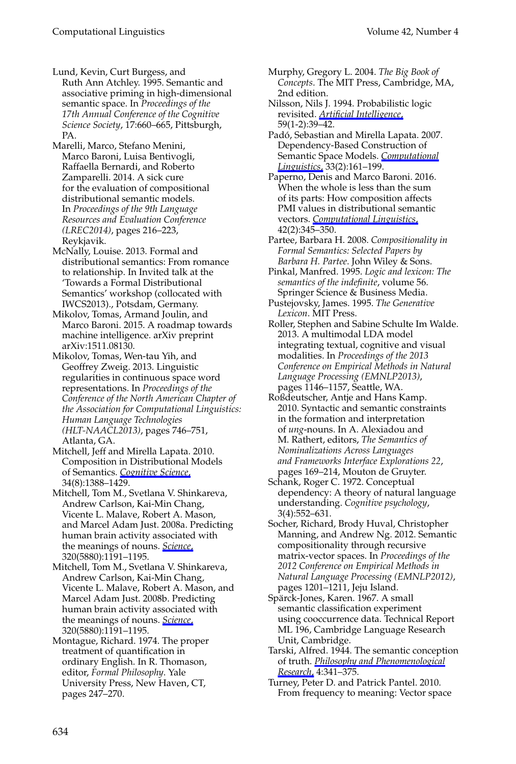Lund, Kevin, Curt Burgess, and Ruth Ann Atchley. 1995. Semantic and associative priming in high-dimensional semantic space. In *Proceedings of the 17th Annual Conference of the Cognitive Science Society*, 17:660–665, Pittsburgh, PA.

Marelli, Marco, Stefano Menini, Marco Baroni, Luisa Bentivogli, Raffaella Bernardi, and Roberto Zamparelli. 2014. A sick cure for the evaluation of compositional distributional semantic models. In *Proceedings of the 9th Language Resources and Evaluation Conference (LREC2014)*, pages 216–223, Reykjavik.

McNally, Louise. 2013. Formal and distributional semantics: From romance to relationship. In Invited talk at the 'Towards a Formal Distributional Semantics' workshop (collocated with IWCS2013)., Potsdam, Germany.

Mikolov, Tomas, Armand Joulin, and Marco Baroni. 2015. A roadmap towards machine intelligence. arXiv preprint arXiv:1511.08130.

Mikolov, Tomas, Wen-tau Yih, and Geoffrey Zweig. 2013. Linguistic regularities in continuous space word representations. In *Proceedings of the Conference of the North American Chapter of the Association for Computational Linguistics: Human Language Technologies (HLT-NAACL2013)*, pages 746–751, Atlanta, GA.

Mitchell, Jeff and Mirella Lapata. 2010. Composition in Distributional Models of Semantics. *[Cognitive Science](http://www.mitpressjournals.org/action/showLinks?crossref=10.1111%2Fj.1551-6709.2010.01106.x)*, 34(8):1388–1429.

Mitchell, Tom M., Svetlana V. Shinkareva, Andrew Carlson, Kai-Min Chang, Vicente L. Malave, Robert A. Mason, and Marcel Adam Just. 2008a. Predicting human brain activity associated with the meanings of nouns. *[Science](http://www.mitpressjournals.org/action/showLinks?crossref=10.1126%2Fscience.1152876)*, 320(5880):1191–1195.

Mitchell, Tom M., Svetlana V. Shinkareva, Andrew Carlson, Kai-Min Chang, Vicente L. Malave, Robert A. Mason, and Marcel Adam Just. 2008b. Predicting human brain activity associated with the meanings of nouns. *[Science](http://www.mitpressjournals.org/action/showLinks?crossref=10.1126%2Fscience.1152876)*, 320(5880):1191–1195.

Montague, Richard. 1974. The proper treatment of quantification in ordinary English. In R. Thomason, editor, *Formal Philosophy*. Yale University Press, New Haven, CT, pages 247–270.

Murphy, Gregory L. 2004. *The Big Book of Concepts*. The MIT Press, Cambridge, MA, 2nd edition.

- Nilsson, Nils J. 1994. Probabilistic logic revisited. *[Artificial Intelligence](http://www.mitpressjournals.org/action/showLinks?crossref=10.1016%2F0004-3702%2893%2990167-A)*, 59(1-2):39–42.
- Padó, Sebastian and Mirella Lapata. 2007. Dependency-Based Construction of Semantic Space Models. *[Computational](http://www.mitpressjournals.org/action/showLinks?system=10.1162%2Fcoli.2007.33.2.161) [Linguistics](http://www.mitpressjournals.org/action/showLinks?system=10.1162%2Fcoli.2007.33.2.161)*, 33(2):161–199.

Paperno, Denis and Marco Baroni. 2016. When the whole is less than the sum of its parts: How composition affects PMI values in distributional semantic vectors. *[Computational Linguistics](http://www.mitpressjournals.org/action/showLinks?system=10.1162%2FCOLI_a_00250)*, 42(2):345–350.

- Partee, Barbara H. 2008. *Compositionality in Formal Semantics: Selected Papers by Barbara H. Partee*. John Wiley & Sons.
- Pinkal, Manfred. 1995. *Logic and lexicon: The semantics of the indefinite*, volume 56. Springer Science & Business Media.
- Pustejovsky, James. 1995. *The Generative Lexicon*. MIT Press.

Roller, Stephen and Sabine Schulte Im Walde. 2013. A multimodal LDA model integrating textual, cognitive and visual modalities. In *Proceedings of the 2013 Conference on Empirical Methods in Natural Language Processing (EMNLP2013)*, pages 1146–1157, Seattle, WA.

Roßdeutscher, Antje and Hans Kamp. 2010. Syntactic and semantic constraints in the formation and interpretation of *ung*-nouns. In A. Alexiadou and M. Rathert, editors, *The Semantics of Nominalizations Across Languages and Frameworks Interface Explorations 22*, pages 169–214, Mouton de Gruyter.

Schank, Roger C. 1972. Conceptual dependency: A theory of natural language understanding. *Cognitive psychology*, 3(4):552–631.

Socher, Richard, Brody Huval, Christopher Manning, and Andrew Ng. 2012. Semantic compositionality through recursive matrix-vector spaces. In *Proceedings of the 2012 Conference on Empirical Methods in Natural Language Processing (EMNLP2012)*, pages 1201–1211, Jeju Island.

- Spärck-Jones, Karen. 1967. A small semantic classification experiment using cooccurrence data. Technical Report ML 196, Cambridge Language Research Unit, Cambridge.
- Tarski, Alfred. 1944. The semantic conception of truth. *[Philosophy and Phenomenological](http://www.mitpressjournals.org/action/showLinks?crossref=10.2307%2F2102968) [Research](http://www.mitpressjournals.org/action/showLinks?crossref=10.2307%2F2102968)*, 4:341–375.
- Turney, Peter D. and Patrick Pantel. 2010. From frequency to meaning: Vector space